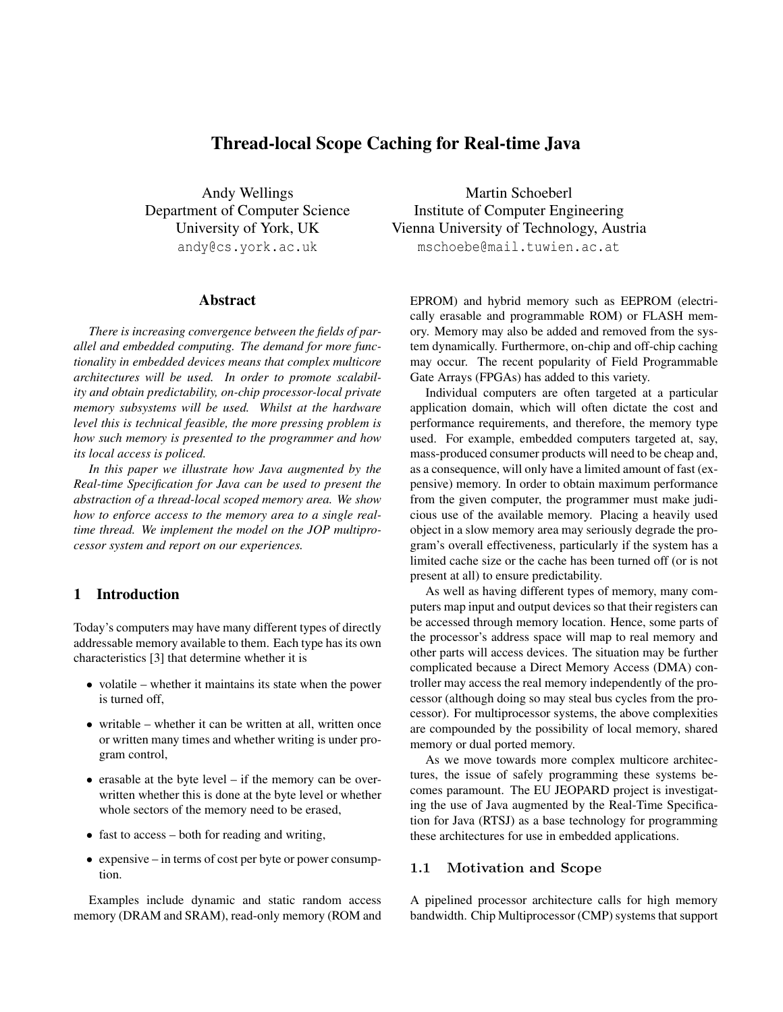# Thread-local Scope Caching for Real-time Java

Andy Wellings Department of Computer Science University of York, UK andy@cs.york.ac.uk

#### Abstract

*There is increasing convergence between the fields of parallel and embedded computing. The demand for more functionality in embedded devices means that complex multicore architectures will be used. In order to promote scalability and obtain predictability, on-chip processor-local private memory subsystems will be used. Whilst at the hardware level this is technical feasible, the more pressing problem is how such memory is presented to the programmer and how its local access is policed.*

*In this paper we illustrate how Java augmented by the Real-time Specification for Java can be used to present the abstraction of a thread-local scoped memory area. We show how to enforce access to the memory area to a single realtime thread. We implement the model on the JOP multiprocessor system and report on our experiences.*

# 1 Introduction

Today's computers may have many different types of directly addressable memory available to them. Each type has its own characteristics [3] that determine whether it is

- volatile whether it maintains its state when the power is turned off
- writable whether it can be written at all, written once or written many times and whether writing is under program control,
- erasable at the byte level if the memory can be overwritten whether this is done at the byte level or whether whole sectors of the memory need to be erased,
- fast to access both for reading and writing,
- expensive in terms of cost per byte or power consumption.

Examples include dynamic and static random access memory (DRAM and SRAM), read-only memory (ROM and

Martin Schoeberl Institute of Computer Engineering Vienna University of Technology, Austria mschoebe@mail.tuwien.ac.at

EPROM) and hybrid memory such as EEPROM (electrically erasable and programmable ROM) or FLASH memory. Memory may also be added and removed from the system dynamically. Furthermore, on-chip and off-chip caching may occur. The recent popularity of Field Programmable Gate Arrays (FPGAs) has added to this variety.

Individual computers are often targeted at a particular application domain, which will often dictate the cost and performance requirements, and therefore, the memory type used. For example, embedded computers targeted at, say, mass-produced consumer products will need to be cheap and, as a consequence, will only have a limited amount of fast (expensive) memory. In order to obtain maximum performance from the given computer, the programmer must make judicious use of the available memory. Placing a heavily used object in a slow memory area may seriously degrade the program's overall effectiveness, particularly if the system has a limited cache size or the cache has been turned off (or is not present at all) to ensure predictability.

As well as having different types of memory, many computers map input and output devices so that their registers can be accessed through memory location. Hence, some parts of the processor's address space will map to real memory and other parts will access devices. The situation may be further complicated because a Direct Memory Access (DMA) controller may access the real memory independently of the processor (although doing so may steal bus cycles from the processor). For multiprocessor systems, the above complexities are compounded by the possibility of local memory, shared memory or dual ported memory.

As we move towards more complex multicore architectures, the issue of safely programming these systems becomes paramount. The EU JEOPARD project is investigating the use of Java augmented by the Real-Time Specification for Java (RTSJ) as a base technology for programming these architectures for use in embedded applications.

### 1.1 Motivation and Scope

A pipelined processor architecture calls for high memory bandwidth. Chip Multiprocessor (CMP) systems that support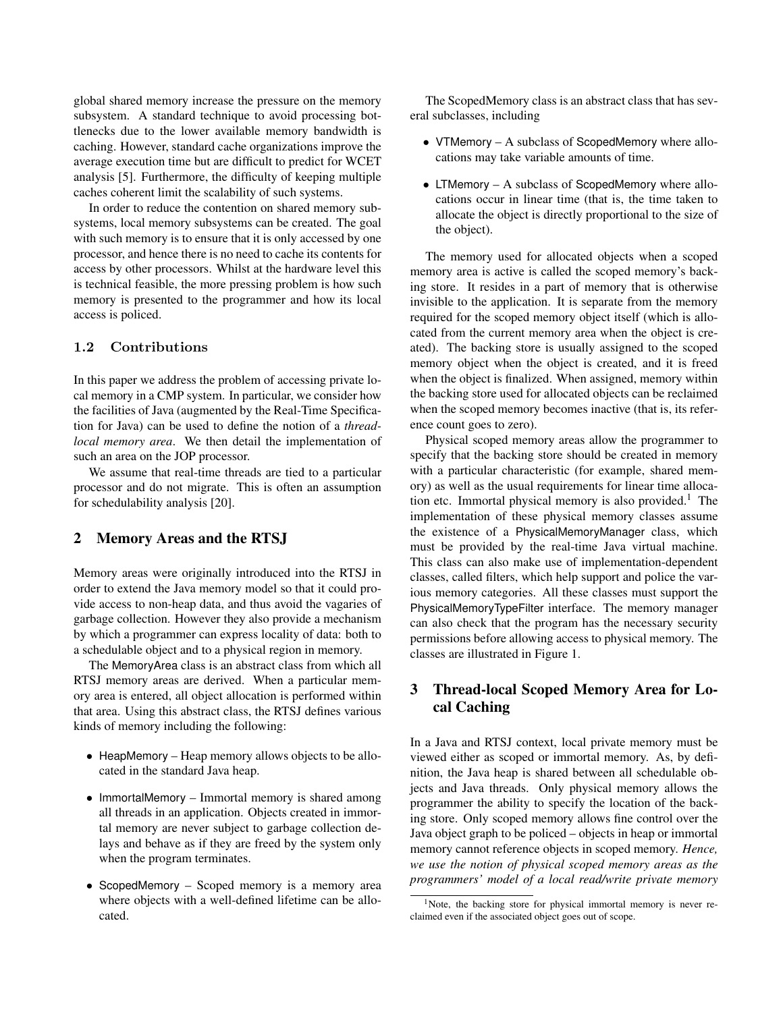global shared memory increase the pressure on the memory subsystem. A standard technique to avoid processing bottlenecks due to the lower available memory bandwidth is caching. However, standard cache organizations improve the average execution time but are difficult to predict for WCET analysis [5]. Furthermore, the difficulty of keeping multiple caches coherent limit the scalability of such systems.

In order to reduce the contention on shared memory subsystems, local memory subsystems can be created. The goal with such memory is to ensure that it is only accessed by one processor, and hence there is no need to cache its contents for access by other processors. Whilst at the hardware level this is technical feasible, the more pressing problem is how such memory is presented to the programmer and how its local access is policed.

### 1.2 Contributions

In this paper we address the problem of accessing private local memory in a CMP system. In particular, we consider how the facilities of Java (augmented by the Real-Time Specification for Java) can be used to define the notion of a *threadlocal memory area*. We then detail the implementation of such an area on the JOP processor.

We assume that real-time threads are tied to a particular processor and do not migrate. This is often an assumption for schedulability analysis [20].

### 2 Memory Areas and the RTSJ

Memory areas were originally introduced into the RTSJ in order to extend the Java memory model so that it could provide access to non-heap data, and thus avoid the vagaries of garbage collection. However they also provide a mechanism by which a programmer can express locality of data: both to a schedulable object and to a physical region in memory.

The MemoryArea class is an abstract class from which all RTSJ memory areas are derived. When a particular memory area is entered, all object allocation is performed within that area. Using this abstract class, the RTSJ defines various kinds of memory including the following:

- HeapMemory Heap memory allows objects to be allocated in the standard Java heap.
- ImmortalMemory Immortal memory is shared among all threads in an application. Objects created in immortal memory are never subject to garbage collection delays and behave as if they are freed by the system only when the program terminates.
- ScopedMemory Scoped memory is a memory area where objects with a well-defined lifetime can be allocated.

The ScopedMemory class is an abstract class that has several subclasses, including

- VTMemory A subclass of ScopedMemory where allocations may take variable amounts of time.
- LTMemory A subclass of ScopedMemory where allocations occur in linear time (that is, the time taken to allocate the object is directly proportional to the size of the object).

The memory used for allocated objects when a scoped memory area is active is called the scoped memory's backing store. It resides in a part of memory that is otherwise invisible to the application. It is separate from the memory required for the scoped memory object itself (which is allocated from the current memory area when the object is created). The backing store is usually assigned to the scoped memory object when the object is created, and it is freed when the object is finalized. When assigned, memory within the backing store used for allocated objects can be reclaimed when the scoped memory becomes inactive (that is, its reference count goes to zero).

Physical scoped memory areas allow the programmer to specify that the backing store should be created in memory with a particular characteristic (for example, shared memory) as well as the usual requirements for linear time allocation etc. Immortal physical memory is also provided.<sup>1</sup> The implementation of these physical memory classes assume the existence of a PhysicalMemoryManager class, which must be provided by the real-time Java virtual machine. This class can also make use of implementation-dependent classes, called filters, which help support and police the various memory categories. All these classes must support the PhysicalMemoryTypeFilter interface. The memory manager can also check that the program has the necessary security permissions before allowing access to physical memory. The classes are illustrated in Figure 1.

# 3 Thread-local Scoped Memory Area for Local Caching

In a Java and RTSJ context, local private memory must be viewed either as scoped or immortal memory. As, by definition, the Java heap is shared between all schedulable objects and Java threads. Only physical memory allows the programmer the ability to specify the location of the backing store. Only scoped memory allows fine control over the Java object graph to be policed – objects in heap or immortal memory cannot reference objects in scoped memory. *Hence, we use the notion of physical scoped memory areas as the programmers' model of a local read/write private memory*

 $1$ Note, the backing store for physical immortal memory is never reclaimed even if the associated object goes out of scope.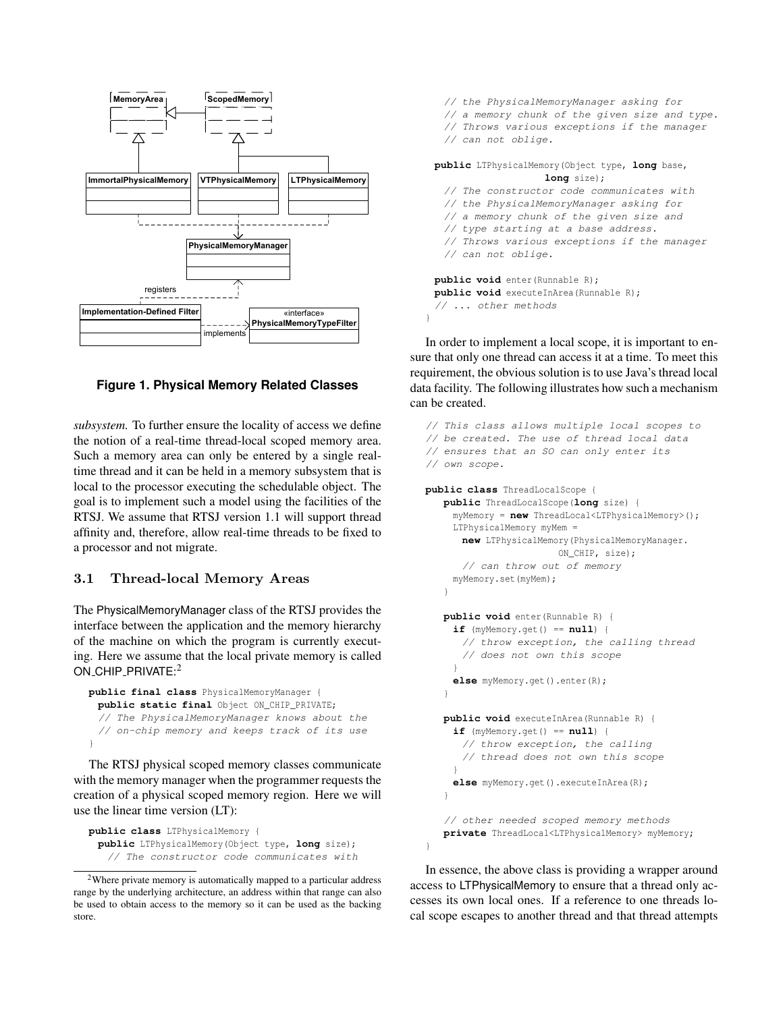

#### **Figure 1. Physical Memory Related Classes**

*subsystem.* To further ensure the locality of access we define the notion of a real-time thread-local scoped memory area. Such a memory area can only be entered by a single realtime thread and it can be held in a memory subsystem that is local to the processor executing the schedulable object. The goal is to implement such a model using the facilities of the RTSJ. We assume that RTSJ version 1.1 will support thread affinity and, therefore, allow real-time threads to be fixed to a processor and not migrate.

### 3.1 Thread-local Memory Areas

The PhysicalMemoryManager class of the RTSJ provides the interface between the application and the memory hierarchy of the machine on which the program is currently executing. Here we assume that the local private memory is called  $ON$  CHIP PRIVATE:  $2$ 

```
public final class PhysicalMemoryManager {
 public static final Object ON_CHIP_PRIVATE;
 // The PhysicalMemoryManager knows about the
 // on-chip memory and keeps track of its use
}
```
The RTSJ physical scoped memory classes communicate with the memory manager when the programmer requests the creation of a physical scoped memory region. Here we will use the linear time version (LT):

**public class** LTPhysicalMemory { **public** LTPhysicalMemory(Object type, **long** size); // The constructor code communicates with

```
// the PhysicalMemoryManager asking for
   // a memory chunk of the given size and type.
  // Throws various exceptions if the manager
  // can not oblige.
 public LTPhysicalMemory(Object type, long base,
                   long size);
  // The constructor code communicates with
  // the PhysicalMemoryManager asking for
  // a memory chunk of the given size and
  // type starting at a base address.
  // Throws various exceptions if the manager
  // can not oblige.
 public void enter(Runnable R);
 public void executeInArea(Runnable R);
 // ... other methods
}
```
In order to implement a local scope, it is important to ensure that only one thread can access it at a time. To meet this requirement, the obvious solution is to use Java's thread local data facility. The following illustrates how such a mechanism can be created.

```
// This class allows multiple local scopes to
// be created. The use of thread local data
// ensures that an SO can only enter its
// own scope.
public class ThreadLocalScope {
   public ThreadLocalScope(long size) {
    myMemory = new ThreadLocal<LTPhysicalMemory>();
    LTPhysicalMemory myMem =
      new LTPhysicalMemory(PhysicalMemoryManager.
                       ON_CHIP, size);
      // can throw out of memory
    myMemory.set(myMem);
   }
   public void enter(Runnable R) {
    if (myMemory.get() == null) {
      // throw exception, the calling thread
      // does not own this scope
     }
    else myMemory.get().enter(R);
   }
   public void executeInArea(Runnable R) {
    if (myMemory.get() == null) {
      // throw exception, the calling
      // thread does not own this scope
     }
    else myMemory.get().executeInArea(R);
   }
   // other needed scoped memory methods
   private ThreadLocal<LTPhysicalMemory> myMemory;
}
```
In essence, the above class is providing a wrapper around access to LTPhysicalMemory to ensure that a thread only accesses its own local ones. If a reference to one threads local scope escapes to another thread and that thread attempts

<sup>2</sup>Where private memory is automatically mapped to a particular address range by the underlying architecture, an address within that range can also be used to obtain access to the memory so it can be used as the backing store.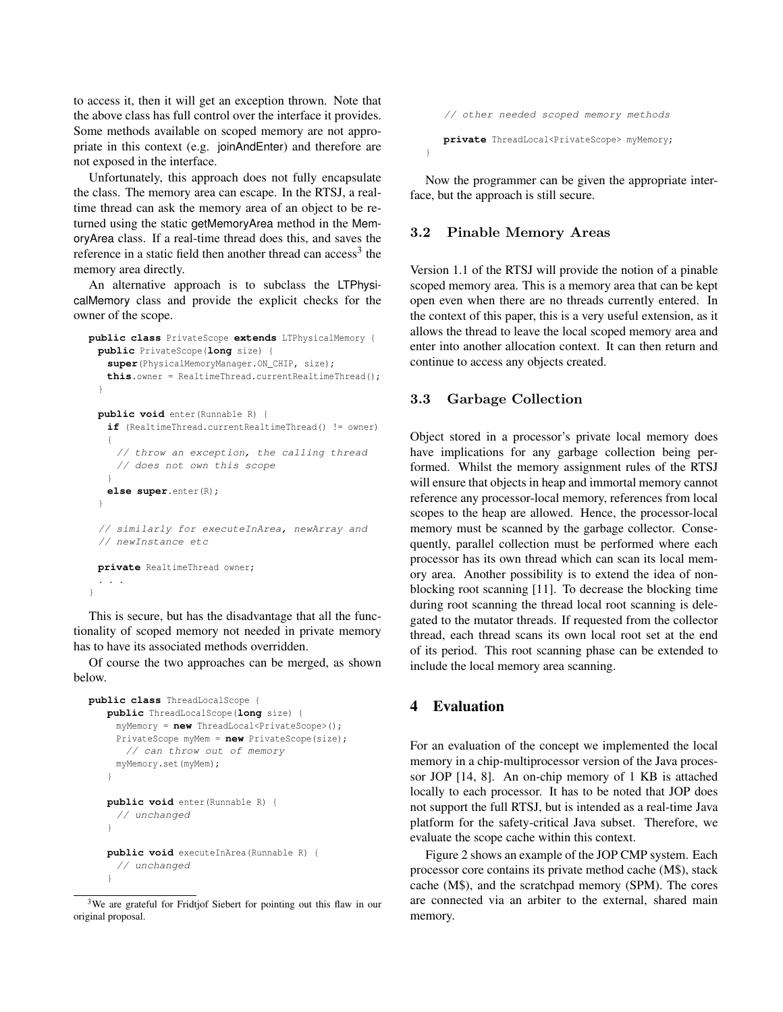to access it, then it will get an exception thrown. Note that the above class has full control over the interface it provides. Some methods available on scoped memory are not appropriate in this context (e.g. joinAndEnter) and therefore are not exposed in the interface.

Unfortunately, this approach does not fully encapsulate the class. The memory area can escape. In the RTSJ, a realtime thread can ask the memory area of an object to be returned using the static getMemoryArea method in the MemoryArea class. If a real-time thread does this, and saves the reference in a static field then another thread can access<sup>3</sup> the memory area directly.

An alternative approach is to subclass the LTPhysicalMemory class and provide the explicit checks for the owner of the scope.

```
public class PrivateScope extends LTPhysicalMemory {
 public PrivateScope(long size) {
   super(PhysicalMemoryManager.ON_CHIP, size);
   this.owner = RealtimeThread.currentRealtimeThread();
 }
 public void enter(Runnable R) {
   if (RealtimeThread.currentRealtimeThread() != owner)
   {
     // throw an exception, the calling thread
     // does not own this scope
   }
   else super.enter(R);
 }
 // similarly for executeInArea, newArray and
 // newInstance etc
 private RealtimeThread owner;
 . . .
}
```
This is secure, but has the disadvantage that all the functionality of scoped memory not needed in private memory has to have its associated methods overridden.

Of course the two approaches can be merged, as shown below.

```
public class ThreadLocalScope {
   public ThreadLocalScope(long size) {
     myMemory = new ThreadLocal<PrivateScope>();
     PrivateScope myMem = new PrivateScope(size);
      // can throw out of memory
     myMemory.set(myMem);
   }
   public void enter(Runnable R) {
     // unchanged
   }
   public void executeInArea(Runnable R) {
     // unchanged
   }
```

```
<sup>3</sup>We are grateful for Fridtjof Siebert for pointing out this flaw in our
original proposal.
```

```
// other needed scoped memory methods
  private ThreadLocal<PrivateScope> myMemory;
}
```
Now the programmer can be given the appropriate interface, but the approach is still secure.

## 3.2 Pinable Memory Areas

Version 1.1 of the RTSJ will provide the notion of a pinable scoped memory area. This is a memory area that can be kept open even when there are no threads currently entered. In the context of this paper, this is a very useful extension, as it allows the thread to leave the local scoped memory area and enter into another allocation context. It can then return and continue to access any objects created.

## 3.3 Garbage Collection

Object stored in a processor's private local memory does have implications for any garbage collection being performed. Whilst the memory assignment rules of the RTSJ will ensure that objects in heap and immortal memory cannot reference any processor-local memory, references from local scopes to the heap are allowed. Hence, the processor-local memory must be scanned by the garbage collector. Consequently, parallel collection must be performed where each processor has its own thread which can scan its local memory area. Another possibility is to extend the idea of nonblocking root scanning [11]. To decrease the blocking time during root scanning the thread local root scanning is delegated to the mutator threads. If requested from the collector thread, each thread scans its own local root set at the end of its period. This root scanning phase can be extended to include the local memory area scanning.

# 4 Evaluation

For an evaluation of the concept we implemented the local memory in a chip-multiprocessor version of the Java processor JOP [14, 8]. An on-chip memory of 1 KB is attached locally to each processor. It has to be noted that JOP does not support the full RTSJ, but is intended as a real-time Java platform for the safety-critical Java subset. Therefore, we evaluate the scope cache within this context.

Figure 2 shows an example of the JOP CMP system. Each processor core contains its private method cache (M\$), stack cache (M\$), and the scratchpad memory (SPM). The cores are connected via an arbiter to the external, shared main memory.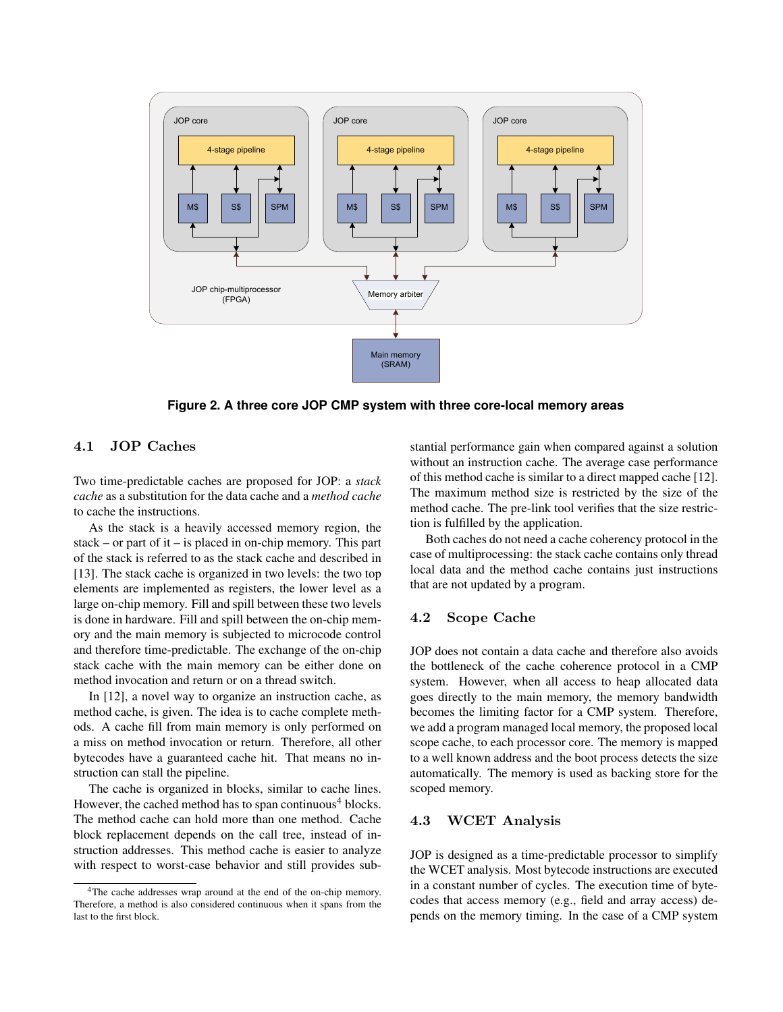

**Figure 2. A three core JOP CMP system with three core-local memory areas**

## 4.1 JOP Caches

Two time-predictable caches are proposed for JOP: a *stack cache* as a substitution for the data cache and a *method cache* to cache the instructions.

As the stack is a heavily accessed memory region, the stack – or part of it – is placed in on-chip memory. This part of the stack is referred to as the stack cache and described in [13]. The stack cache is organized in two levels: the two top elements are implemented as registers, the lower level as a large on-chip memory. Fill and spill between these two levels is done in hardware. Fill and spill between the on-chip memory and the main memory is subjected to microcode control and therefore time-predictable. The exchange of the on-chip stack cache with the main memory can be either done on method invocation and return or on a thread switch.

In [12], a novel way to organize an instruction cache, as method cache, is given. The idea is to cache complete methods. A cache fill from main memory is only performed on a miss on method invocation or return. Therefore, all other bytecodes have a guaranteed cache hit. That means no instruction can stall the pipeline.

The cache is organized in blocks, similar to cache lines. However, the cached method has to span continuous<sup>4</sup> blocks. The method cache can hold more than one method. Cache block replacement depends on the call tree, instead of instruction addresses. This method cache is easier to analyze with respect to worst-case behavior and still provides substantial performance gain when compared against a solution without an instruction cache. The average case performance of this method cache is similar to a direct mapped cache [12]. The maximum method size is restricted by the size of the method cache. The pre-link tool verifies that the size restriction is fulfilled by the application.

Both caches do not need a cache coherency protocol in the case of multiprocessing: the stack cache contains only thread local data and the method cache contains just instructions that are not updated by a program.

## 4.2 Scope Cache

JOP does not contain a data cache and therefore also avoids the bottleneck of the cache coherence protocol in a CMP system. However, when all access to heap allocated data goes directly to the main memory, the memory bandwidth becomes the limiting factor for a CMP system. Therefore, we add a program managed local memory, the proposed local scope cache, to each processor core. The memory is mapped to a well known address and the boot process detects the size automatically. The memory is used as backing store for the scoped memory.

## 4.3 WCET Analysis

JOP is designed as a time-predictable processor to simplify the WCET analysis. Most bytecode instructions are executed in a constant number of cycles. The execution time of bytecodes that access memory (e.g., field and array access) depends on the memory timing. In the case of a CMP system

<sup>4</sup>The cache addresses wrap around at the end of the on-chip memory. Therefore, a method is also considered continuous when it spans from the last to the first block.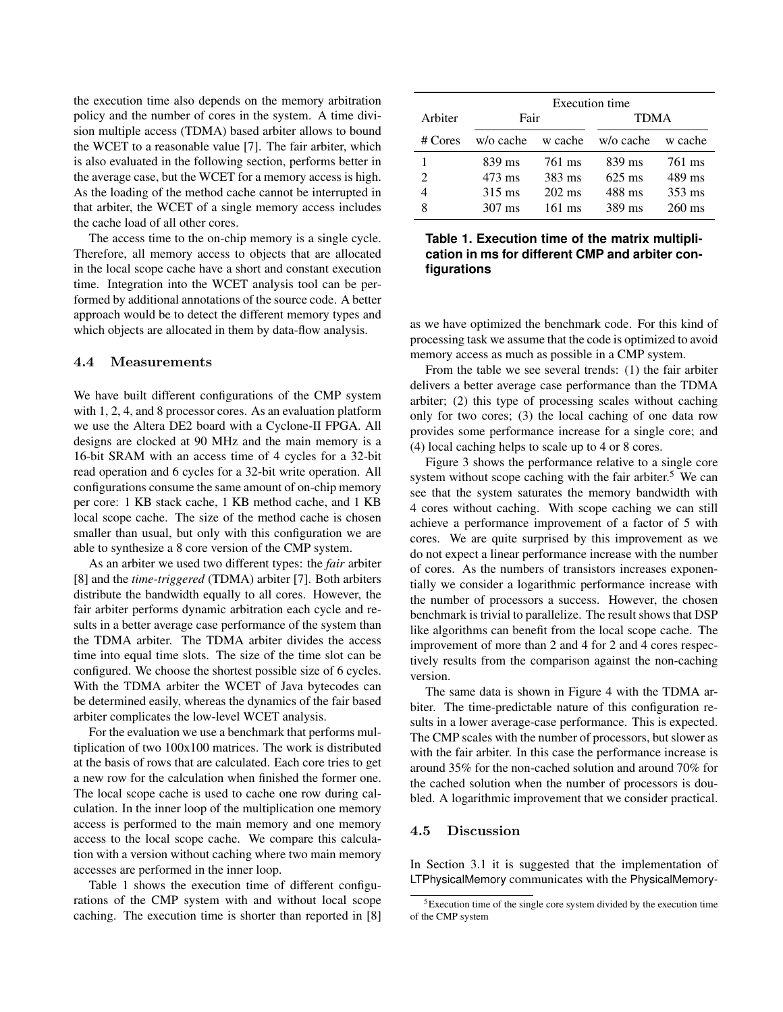the execution time also depends on the memory arbitration policy and the number of cores in the system. A time division multiple access (TDMA) based arbiter allows to bound the WCET to a reasonable value [7]. The fair arbiter, which is also evaluated in the following section, performs better in the average case, but the WCET for a memory access is high. As the loading of the method cache cannot be interrupted in that arbiter, the WCET of a single memory access includes the cache load of all other cores.

The access time to the on-chip memory is a single cycle. Therefore, all memory access to objects that are allocated in the local scope cache have a short and constant execution time. Integration into the WCET analysis tool can be performed by additional annotations of the source code. A better approach would be to detect the different memory types and which objects are allocated in them by data-flow analysis.

#### 4.4 Measurements

We have built different configurations of the CMP system with 1, 2, 4, and 8 processor cores. As an evaluation platform we use the Altera DE2 board with a Cyclone-II FPGA. All designs are clocked at 90 MHz and the main memory is a 16-bit SRAM with an access time of 4 cycles for a 32-bit read operation and 6 cycles for a 32-bit write operation. All configurations consume the same amount of on-chip memory per core: 1 KB stack cache, 1 KB method cache, and 1 KB local scope cache. The size of the method cache is chosen smaller than usual, but only with this configuration we are able to synthesize a 8 core version of the CMP system.

As an arbiter we used two different types: the *fair* arbiter [8] and the *time-triggered* (TDMA) arbiter [7]. Both arbiters distribute the bandwidth equally to all cores. However, the fair arbiter performs dynamic arbitration each cycle and results in a better average case performance of the system than the TDMA arbiter. The TDMA arbiter divides the access time into equal time slots. The size of the time slot can be configured. We choose the shortest possible size of 6 cycles. With the TDMA arbiter the WCET of Java bytecodes can be determined easily, whereas the dynamics of the fair based arbiter complicates the low-level WCET analysis.

For the evaluation we use a benchmark that performs multiplication of two 100x100 matrices. The work is distributed at the basis of rows that are calculated. Each core tries to get a new row for the calculation when finished the former one. The local scope cache is used to cache one row during calculation. In the inner loop of the multiplication one memory access is performed to the main memory and one memory access to the local scope cache. We compare this calculation with a version without caching where two main memory accesses are performed in the inner loop.

Table 1 shows the execution time of different configurations of the CMP system with and without local scope caching. The execution time is shorter than reported in [8]

|                             | Execution time   |                  |                             |                  |
|-----------------------------|------------------|------------------|-----------------------------|------------------|
| Arbiter                     | Fair             |                  | <b>TDMA</b>                 |                  |
| $#$ Cores                   |                  |                  | w/o cache w cache w/o cache | w cache          |
|                             | 839 ms           | 761 ms           | 839 ms                      | 761 ms           |
| $\mathcal{D}_{\mathcal{L}}$ | 473 ms           | 383 ms           | $625$ ms                    | 489 ms           |
|                             | $315 \text{ ms}$ | $202 \text{ ms}$ | 488 ms                      | $353 \text{ ms}$ |
|                             | $307 \text{ ms}$ | 161 ms           | 389 ms                      | $260 \text{ ms}$ |

## **Table 1. Execution time of the matrix multiplication in ms for different CMP and arbiter configurations**

as we have optimized the benchmark code. For this kind of processing task we assume that the code is optimized to avoid memory access as much as possible in a CMP system.

From the table we see several trends: (1) the fair arbiter delivers a better average case performance than the TDMA arbiter; (2) this type of processing scales without caching only for two cores; (3) the local caching of one data row provides some performance increase for a single core; and (4) local caching helps to scale up to 4 or 8 cores.

Figure 3 shows the performance relative to a single core system without scope caching with the fair arbiter.<sup>5</sup> We can see that the system saturates the memory bandwidth with 4 cores without caching. With scope caching we can still achieve a performance improvement of a factor of 5 with cores. We are quite surprised by this improvement as we do not expect a linear performance increase with the number of cores. As the numbers of transistors increases exponentially we consider a logarithmic performance increase with the number of processors a success. However, the chosen benchmark is trivial to parallelize. The result shows that DSP like algorithms can benefit from the local scope cache. The improvement of more than 2 and 4 for 2 and 4 cores respectively results from the comparison against the non-caching version.

The same data is shown in Figure 4 with the TDMA arbiter. The time-predictable nature of this configuration results in a lower average-case performance. This is expected. The CMP scales with the number of processors, but slower as with the fair arbiter. In this case the performance increase is around 35% for the non-cached solution and around 70% for the cached solution when the number of processors is doubled. A logarithmic improvement that we consider practical.

#### 4.5 Discussion

In Section 3.1 it is suggested that the implementation of LTPhysicalMemory communicates with the PhysicalMemory-

<sup>5</sup>Execution time of the single core system divided by the execution time of the CMP system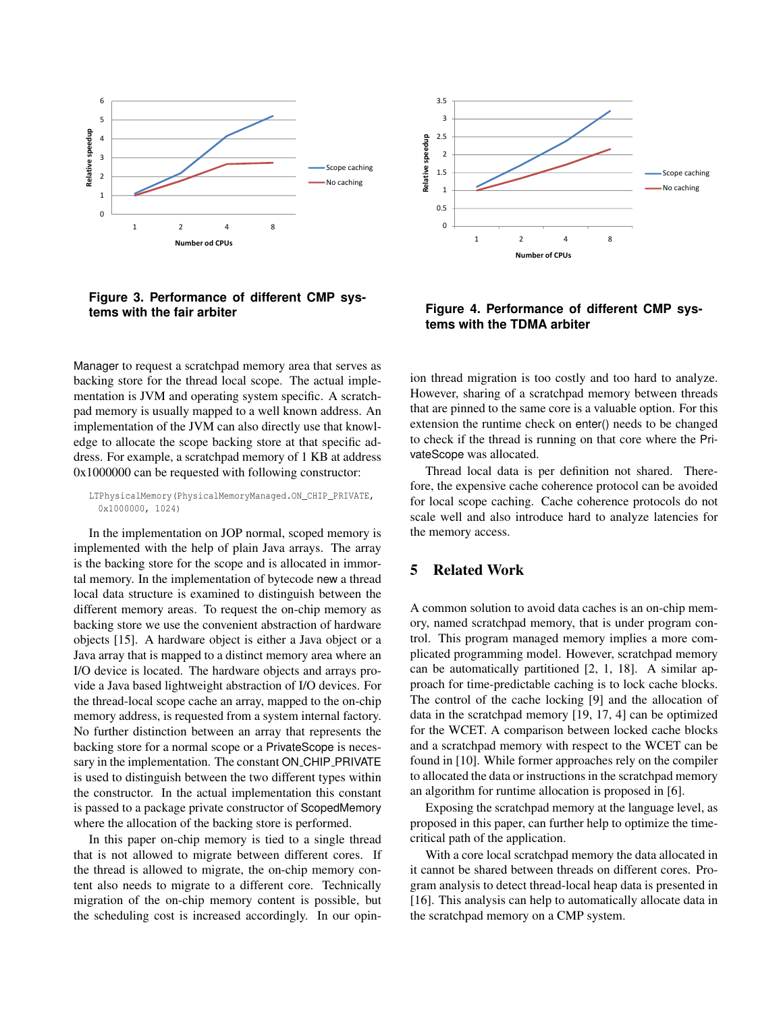

## **Figure 3. Performance of different CMP systems with the fair arbiter**

Manager to request a scratchpad memory area that serves as backing store for the thread local scope. The actual implementation is JVM and operating system specific. A scratchpad memory is usually mapped to a well known address. An implementation of the JVM can also directly use that knowledge to allocate the scope backing store at that specific address. For example, a scratchpad memory of 1 KB at address 0x1000000 can be requested with following constructor:

LTPhysicalMemory(PhysicalMemoryManaged.ON\_CHIP\_PRIVATE, 0x1000000, 1024)

In the implementation on JOP normal, scoped memory is implemented with the help of plain Java arrays. The array is the backing store for the scope and is allocated in immortal memory. In the implementation of bytecode new a thread local data structure is examined to distinguish between the different memory areas. To request the on-chip memory as backing store we use the convenient abstraction of hardware objects [15]. A hardware object is either a Java object or a Java array that is mapped to a distinct memory area where an I/O device is located. The hardware objects and arrays provide a Java based lightweight abstraction of I/O devices. For the thread-local scope cache an array, mapped to the on-chip memory address, is requested from a system internal factory. No further distinction between an array that represents the backing store for a normal scope or a PrivateScope is necessary in the implementation. The constant ON\_CHIP\_PRIVATE is used to distinguish between the two different types within the constructor. In the actual implementation this constant is passed to a package private constructor of ScopedMemory where the allocation of the backing store is performed.

In this paper on-chip memory is tied to a single thread that is not allowed to migrate between different cores. If the thread is allowed to migrate, the on-chip memory content also needs to migrate to a different core. Technically migration of the on-chip memory content is possible, but the scheduling cost is increased accordingly. In our opin-



**Figure 4. Performance of different CMP systems with the TDMA arbiter**

ion thread migration is too costly and too hard to analyze. However, sharing of a scratchpad memory between threads that are pinned to the same core is a valuable option. For this extension the runtime check on enter() needs to be changed to check if the thread is running on that core where the PrivateScope was allocated.

Thread local data is per definition not shared. Therefore, the expensive cache coherence protocol can be avoided for local scope caching. Cache coherence protocols do not scale well and also introduce hard to analyze latencies for the memory access.

# 5 Related Work

A common solution to avoid data caches is an on-chip memory, named scratchpad memory, that is under program control. This program managed memory implies a more complicated programming model. However, scratchpad memory can be automatically partitioned [2, 1, 18]. A similar approach for time-predictable caching is to lock cache blocks. The control of the cache locking [9] and the allocation of data in the scratchpad memory [19, 17, 4] can be optimized for the WCET. A comparison between locked cache blocks and a scratchpad memory with respect to the WCET can be found in [10]. While former approaches rely on the compiler to allocated the data or instructions in the scratchpad memory an algorithm for runtime allocation is proposed in [6].

Exposing the scratchpad memory at the language level, as proposed in this paper, can further help to optimize the timecritical path of the application.

With a core local scratchpad memory the data allocated in it cannot be shared between threads on different cores. Program analysis to detect thread-local heap data is presented in [16]. This analysis can help to automatically allocate data in the scratchpad memory on a CMP system.